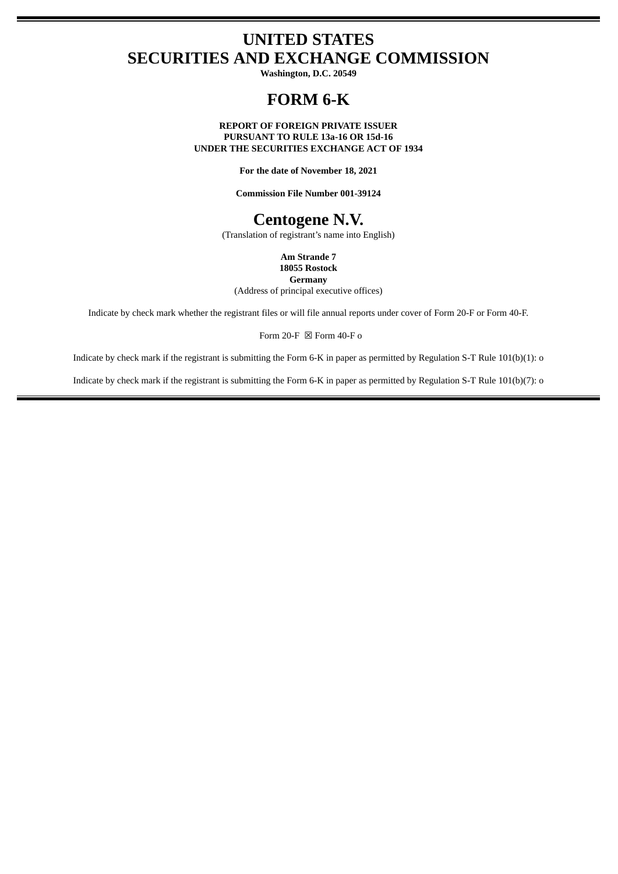# **UNITED STATES SECURITIES AND EXCHANGE COMMISSION**

**Washington, D.C. 20549**

## **FORM 6-K**

**REPORT OF FOREIGN PRIVATE ISSUER PURSUANT TO RULE 13a-16 OR 15d-16 UNDER THE SECURITIES EXCHANGE ACT OF 1934**

**For the date of November 18, 2021**

**Commission File Number 001-39124**

## **Centogene N.V.**

(Translation of registrant's name into English)

**Am Strande 7 18055 Rostock Germany**

(Address of principal executive offices)

Indicate by check mark whether the registrant files or will file annual reports under cover of Form 20-F or Form 40-F.

Form 20-F  $\boxtimes$  Form 40-F o

Indicate by check mark if the registrant is submitting the Form 6-K in paper as permitted by Regulation S-T Rule 101(b)(1): o

Indicate by check mark if the registrant is submitting the Form 6-K in paper as permitted by Regulation S-T Rule 101(b)(7): o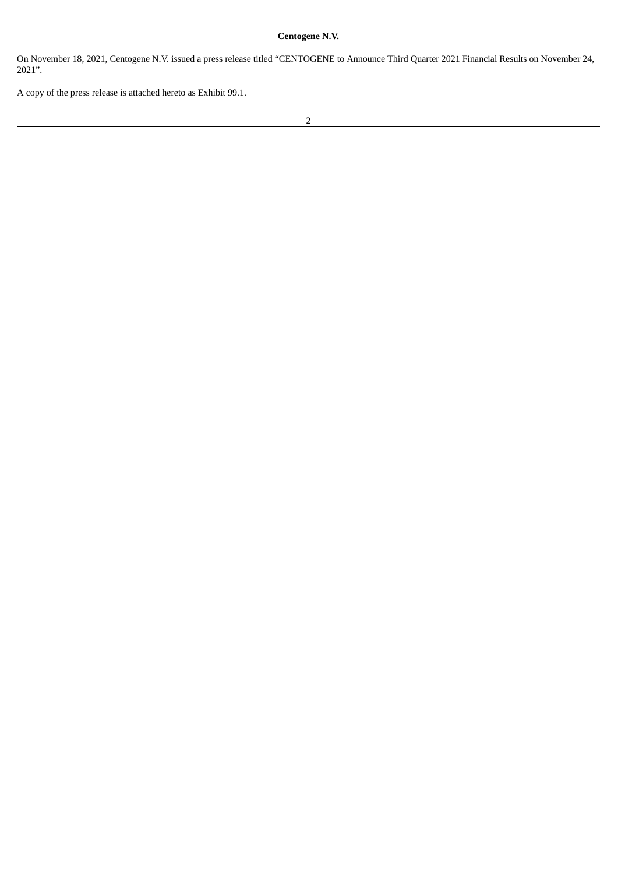### **Centogene N.V.**

On November 18, 2021, Centogene N.V. issued a press release titled "CENTOGENE to Announce Third Quarter 2021 Financial Results on November 24, 2021".

A copy of the press release is attached hereto as Exhibit 99.1.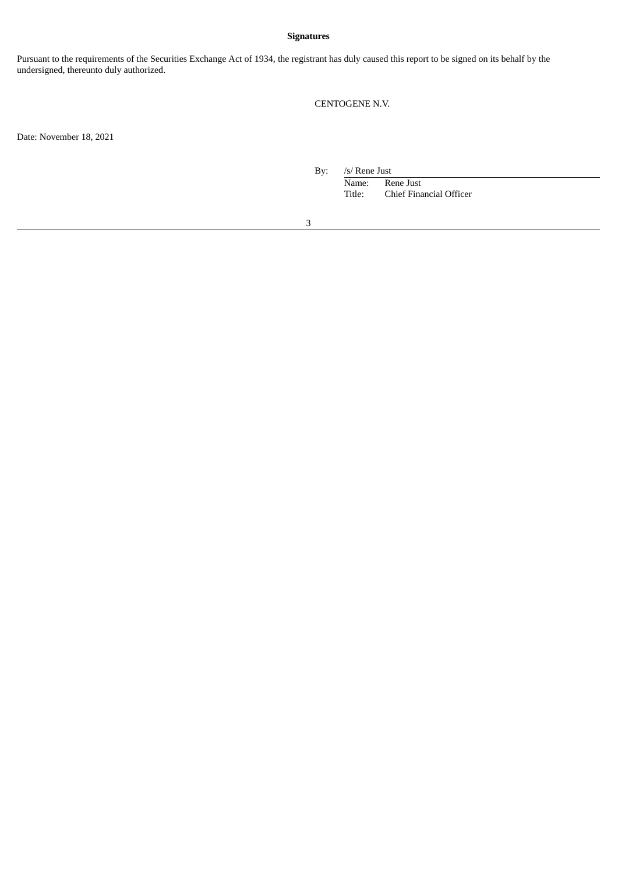#### **Signatures**

Pursuant to the requirements of the Securities Exchange Act of 1934, the registrant has duly caused this report to be signed on its behalf by the undersigned, thereunto duly authorized.

### CENTOGENE N.V.

Date: November 18, 2021

By: /s/ Rene Just

Name: Rene Just<br>Title: Chief Fina Chief Financial Officer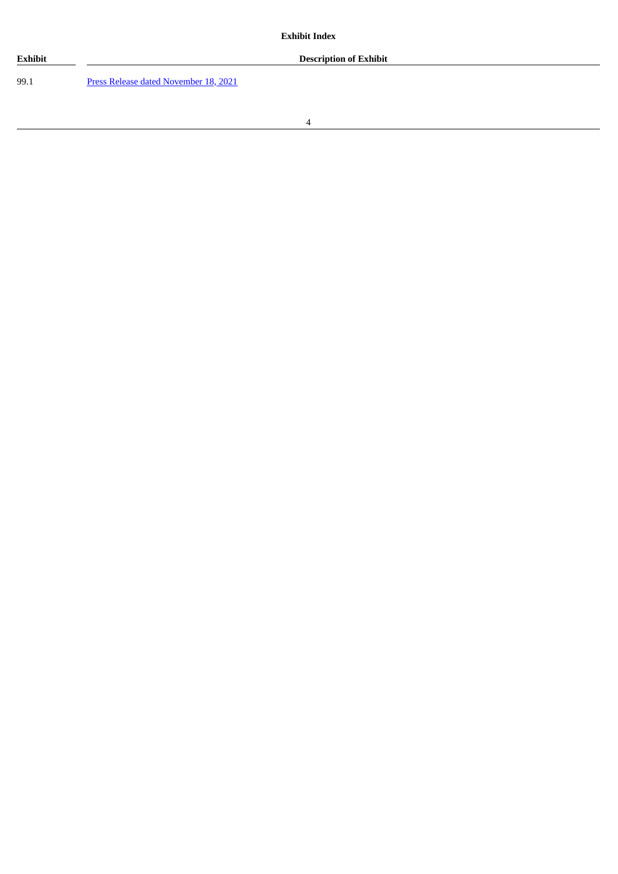

99.1 Press Release dated [November](#page-4-0) 18, 2021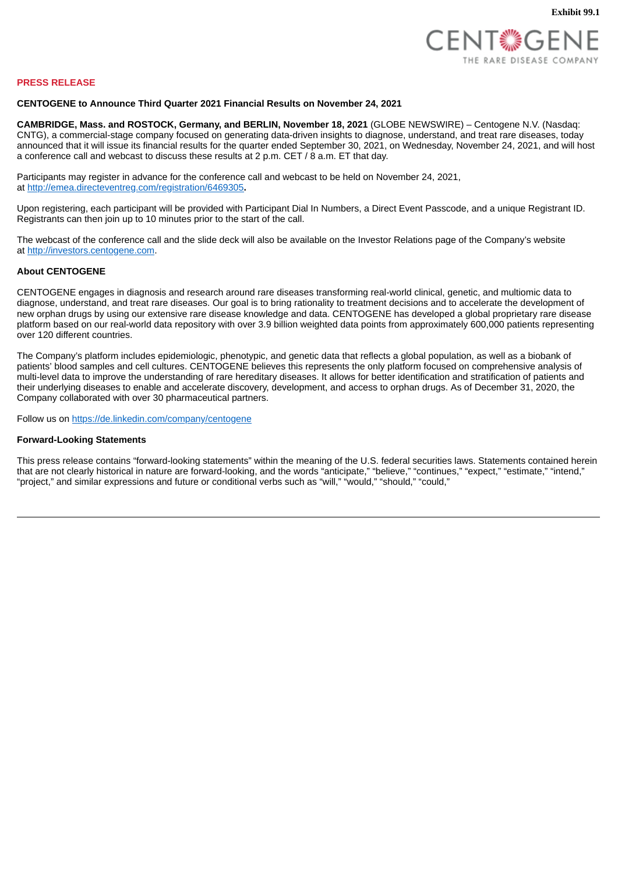

#### <span id="page-4-0"></span>**PRESS RELEASE**

#### **CENTOGENE to Announce Third Quarter 2021 Financial Results on November 24, 2021**

**CAMBRIDGE, Mass. and ROSTOCK, Germany, and BERLIN, November 18, 2021** (GLOBE NEWSWIRE) – Centogene N.V. (Nasdaq: CNTG), a commercial-stage company focused on generating data-driven insights to diagnose, understand, and treat rare diseases, today announced that it will issue its financial results for the quarter ended September 30, 2021, on Wednesday, November 24, 2021, and will host a conference call and webcast to discuss these results at 2 p.m. CET / 8 a.m. ET that day.

Participants may register in advance for the conference call and webcast to be held on November 24, 2021, at http://emea.directeventreg.com/registration/6469305**.**

Upon registering, each participant will be provided with Participant Dial In Numbers, a Direct Event Passcode, and a unique Registrant ID. Registrants can then join up to 10 minutes prior to the start of the call.

The webcast of the conference call and the slide deck will also be available on the Investor Relations page of the Company's website at http://investors.centogene.com.

#### **About CENTOGENE**

CENTOGENE engages in diagnosis and research around rare diseases transforming real-world clinical, genetic, and multiomic data to diagnose, understand, and treat rare diseases. Our goal is to bring rationality to treatment decisions and to accelerate the development of new orphan drugs by using our extensive rare disease knowledge and data. CENTOGENE has developed a global proprietary rare disease platform based on our real-world data repository with over 3.9 billion weighted data points from approximately 600,000 patients representing over 120 different countries.

The Company's platform includes epidemiologic, phenotypic, and genetic data that reflects a global population, as well as a biobank of patients' blood samples and cell cultures. CENTOGENE believes this represents the only platform focused on comprehensive analysis of multi-level data to improve the understanding of rare hereditary diseases. It allows for better identification and stratification of patients and their underlying diseases to enable and accelerate discovery, development, and access to orphan drugs. As of December 31, 2020, the Company collaborated with over 30 pharmaceutical partners.

Follow us on https://de.linkedin.com/company/centogene

#### **Forward-Looking Statements**

This press release contains "forward-looking statements" within the meaning of the U.S. federal securities laws. Statements contained herein that are not clearly historical in nature are forward-looking, and the words "anticipate," "believe," "continues," "expect," "estimate," "intend," "project," and similar expressions and future or conditional verbs such as "will," "would," "should," "could,"